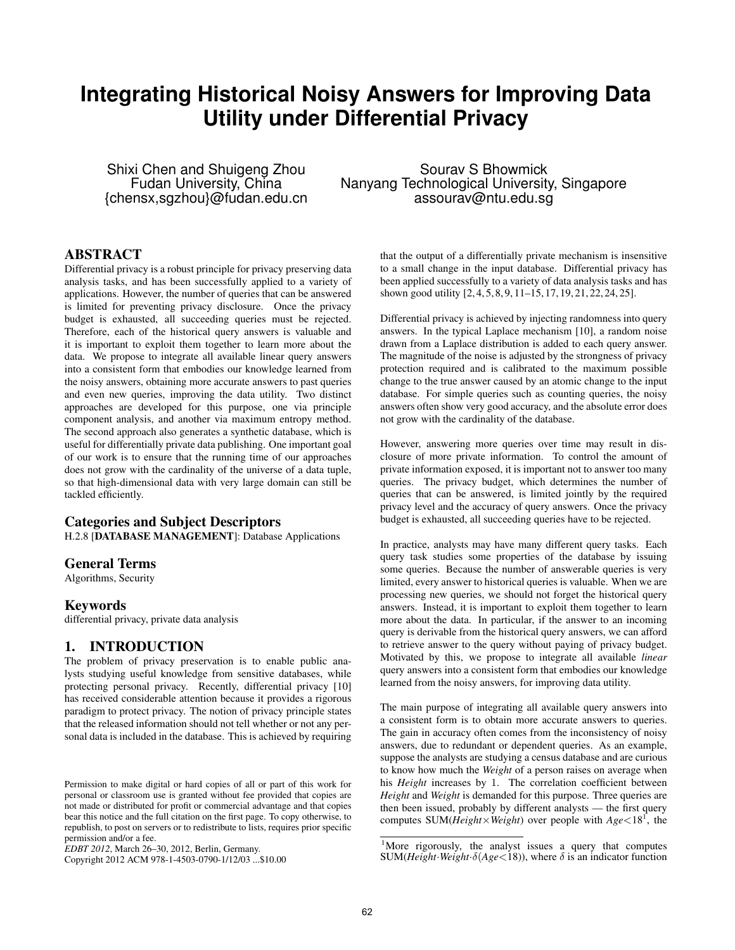# **Integrating Historical Noisy Answers for Improving Data Utility under Differential Privacy**

Shixi Chen and Shuigeng Zhou Fudan University, China {chensx,sgzhou}@fudan.edu.cn

Sourav S Bhowmick Nanyang Technological University, Singapore assourav@ntu.edu.sg

# ABSTRACT

Differential privacy is a robust principle for privacy preserving data analysis tasks, and has been successfully applied to a variety of applications. However, the number of queries that can be answered is limited for preventing privacy disclosure. Once the privacy budget is exhausted, all succeeding queries must be rejected. Therefore, each of the historical query answers is valuable and it is important to exploit them together to learn more about the data. We propose to integrate all available linear query answers into a consistent form that embodies our knowledge learned from the noisy answers, obtaining more accurate answers to past queries and even new queries, improving the data utility. Two distinct approaches are developed for this purpose, one via principle component analysis, and another via maximum entropy method. The second approach also generates a synthetic database, which is useful for differentially private data publishing. One important goal of our work is to ensure that the running time of our approaches does not grow with the cardinality of the universe of a data tuple, so that high-dimensional data with very large domain can still be tackled efficiently.

# Categories and Subject Descriptors

H.2.8 [DATABASE MANAGEMENT]: Database Applications

# General Terms

Algorithms, Security

# Keywords

differential privacy, private data analysis

# 1. INTRODUCTION

The problem of privacy preservation is to enable public analysts studying useful knowledge from sensitive databases, while protecting personal privacy. Recently, differential privacy [10] has received considerable attention because it provides a rigorous paradigm to protect privacy. The notion of privacy principle states that the released information should not tell whether or not any personal data is included in the database. This is achieved by requiring

Copyright 2012 ACM 978-1-4503-0790-1/12/03 ...\$10.00

that the output of a differentially private mechanism is insensitive to a small change in the input database. Differential privacy has been applied successfully to a variety of data analysis tasks and has shown good utility [2, 4, 5, 8, 9, 11–15, 17, 19, 21, 22, 24, 25].

Differential privacy is achieved by injecting randomness into query answers. In the typical Laplace mechanism [10], a random noise drawn from a Laplace distribution is added to each query answer. The magnitude of the noise is adjusted by the strongness of privacy protection required and is calibrated to the maximum possible change to the true answer caused by an atomic change to the input database. For simple queries such as counting queries, the noisy answers often show very good accuracy, and the absolute error does not grow with the cardinality of the database.

However, answering more queries over time may result in disclosure of more private information. To control the amount of private information exposed, it is important not to answer too many queries. The privacy budget, which determines the number of queries that can be answered, is limited jointly by the required privacy level and the accuracy of query answers. Once the privacy budget is exhausted, all succeeding queries have to be rejected.

In practice, analysts may have many different query tasks. Each query task studies some properties of the database by issuing some queries. Because the number of answerable queries is very limited, every answer to historical queries is valuable. When we are processing new queries, we should not forget the historical query answers. Instead, it is important to exploit them together to learn more about the data. In particular, if the answer to an incoming query is derivable from the historical query answers, we can afford to retrieve answer to the query without paying of privacy budget. Motivated by this, we propose to integrate all available *linear* query answers into a consistent form that embodies our knowledge learned from the noisy answers, for improving data utility.

The main purpose of integrating all available query answers into a consistent form is to obtain more accurate answers to queries. The gain in accuracy often comes from the inconsistency of noisy answers, due to redundant or dependent queries. As an example, suppose the analysts are studying a census database and are curious to know how much the *Weight* of a person raises on average when his *Height* increases by 1. The correlation coefficient between *Height* and *Weight* is demanded for this purpose. Three queries are then been issued, probably by different analysts — the first query computes SUM(*Height*×*Weight*) over people with *Age*<18<sup>1</sup> , the

Permission to make digital or hard copies of all or part of this work for personal or classroom use is granted without fee provided that copies are not made or distributed for profit or commercial advantage and that copies bear this notice and the full citation on the first page. To copy otherwise, to republish, to post on servers or to redistribute to lists, requires prior specific permission and/or a fee.

*EDBT 2012*, March 26–30, 2012, Berlin, Germany.

<sup>&</sup>lt;sup>1</sup>More rigorously, the analyst issues a query that computes SUM( $Height$ *·Weight*· $\delta(Age<18)$ ), where  $\delta$  is an indicator function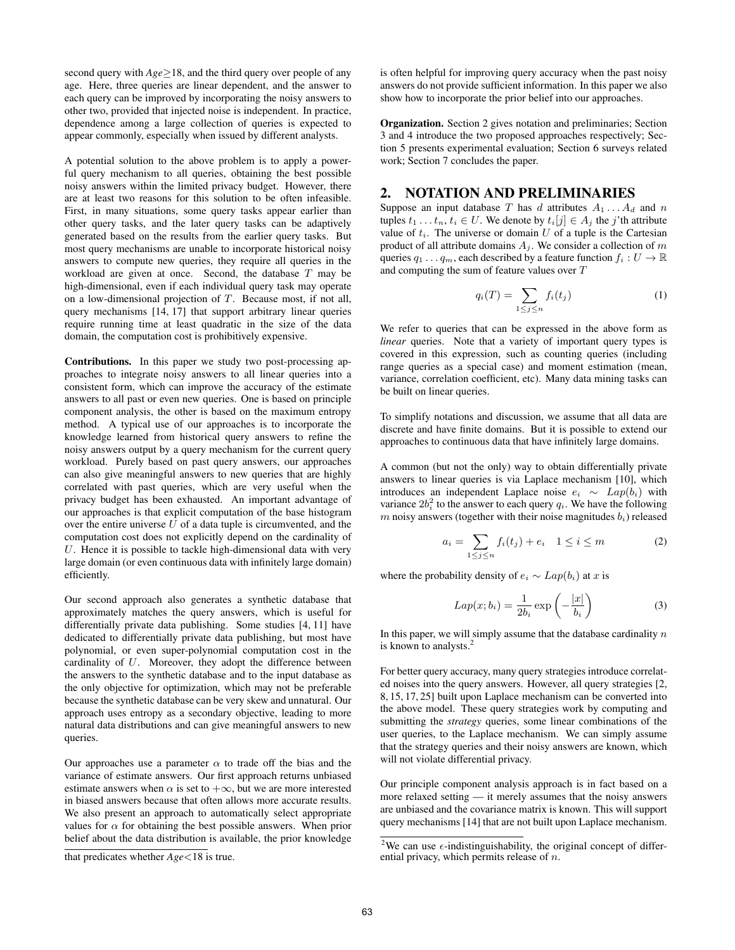second query with *Age* > 18, and the third query over people of any age. Here, three queries are linear dependent, and the answer to each query can be improved by incorporating the noisy answers to other two, provided that injected noise is independent. In practice, dependence among a large collection of queries is expected to appear commonly, especially when issued by different analysts.

A potential solution to the above problem is to apply a powerful query mechanism to all queries, obtaining the best possible noisy answers within the limited privacy budget. However, there are at least two reasons for this solution to be often infeasible. First, in many situations, some query tasks appear earlier than other query tasks, and the later query tasks can be adaptively generated based on the results from the earlier query tasks. But most query mechanisms are unable to incorporate historical noisy answers to compute new queries, they require all queries in the workload are given at once. Second, the database  $T$  may be high-dimensional, even if each individual query task may operate on a low-dimensional projection of T. Because most, if not all, query mechanisms [14, 17] that support arbitrary linear queries require running time at least quadratic in the size of the data domain, the computation cost is prohibitively expensive.

Contributions. In this paper we study two post-processing approaches to integrate noisy answers to all linear queries into a consistent form, which can improve the accuracy of the estimate answers to all past or even new queries. One is based on principle component analysis, the other is based on the maximum entropy method. A typical use of our approaches is to incorporate the knowledge learned from historical query answers to refine the noisy answers output by a query mechanism for the current query workload. Purely based on past query answers, our approaches can also give meaningful answers to new queries that are highly correlated with past queries, which are very useful when the privacy budget has been exhausted. An important advantage of our approaches is that explicit computation of the base histogram over the entire universe  $U$  of a data tuple is circumvented, and the computation cost does not explicitly depend on the cardinality of U. Hence it is possible to tackle high-dimensional data with very large domain (or even continuous data with infinitely large domain) efficiently.

Our second approach also generates a synthetic database that approximately matches the query answers, which is useful for differentially private data publishing. Some studies [4, 11] have dedicated to differentially private data publishing, but most have polynomial, or even super-polynomial computation cost in the cardinality of U. Moreover, they adopt the difference between the answers to the synthetic database and to the input database as the only objective for optimization, which may not be preferable because the synthetic database can be very skew and unnatural. Our approach uses entropy as a secondary objective, leading to more natural data distributions and can give meaningful answers to new queries.

Our approaches use a parameter  $\alpha$  to trade off the bias and the variance of estimate answers. Our first approach returns unbiased estimate answers when  $\alpha$  is set to  $+\infty$ , but we are more interested in biased answers because that often allows more accurate results. We also present an approach to automatically select appropriate values for  $\alpha$  for obtaining the best possible answers. When prior belief about the data distribution is available, the prior knowledge

that predicates whether *Age*<18 is true.

is often helpful for improving query accuracy when the past noisy answers do not provide sufficient information. In this paper we also show how to incorporate the prior belief into our approaches.

Organization. Section 2 gives notation and preliminaries; Section 3 and 4 introduce the two proposed approaches respectively; Section 5 presents experimental evaluation; Section 6 surveys related work; Section 7 concludes the paper.

### 2. NOTATION AND PRELIMINARIES

Suppose an input database T has d attributes  $A_1 \dots A_d$  and n tuples  $t_1 \ldots t_n$ ,  $t_i \in U$ . We denote by  $t_i[j] \in A_j$  the j'th attribute value of  $t_i$ . The universe or domain U of a tuple is the Cartesian product of all attribute domains  $A_i$ . We consider a collection of m queries  $q_1 \dots q_m$ , each described by a feature function  $f_i : U \to \mathbb{R}$ and computing the sum of feature values over T

$$
q_i(T) = \sum_{1 \le j \le n} f_i(t_j) \tag{1}
$$

We refer to queries that can be expressed in the above form as *linear* queries. Note that a variety of important query types is covered in this expression, such as counting queries (including range queries as a special case) and moment estimation (mean, variance, correlation coefficient, etc). Many data mining tasks can be built on linear queries.

To simplify notations and discussion, we assume that all data are discrete and have finite domains. But it is possible to extend our approaches to continuous data that have infinitely large domains.

A common (but not the only) way to obtain differentially private answers to linear queries is via Laplace mechanism [10], which introduces an independent Laplace noise  $e_i \sim Lap(b_i)$  with variance  $2b_i^2$  to the answer to each query  $q_i$ . We have the following m noisy answers (together with their noise magnitudes  $b_i$ ) released

$$
a_i = \sum_{1 \le j \le n} f_i(t_j) + e_i \quad 1 \le i \le m \tag{2}
$$

where the probability density of  $e_i \sim Lap(b_i)$  at x is

$$
Lap(x;b_i) = \frac{1}{2b_i} \exp\left(-\frac{|x|}{b_i}\right)
$$
 (3)

In this paper, we will simply assume that the database cardinality  $n$ is known to analysts.<sup>2</sup>

For better query accuracy, many query strategies introduce correlated noises into the query answers. However, all query strategies [2, 8, 15, 17, 25] built upon Laplace mechanism can be converted into the above model. These query strategies work by computing and submitting the *strategy* queries, some linear combinations of the user queries, to the Laplace mechanism. We can simply assume that the strategy queries and their noisy answers are known, which will not violate differential privacy.

Our principle component analysis approach is in fact based on a more relaxed setting — it merely assumes that the noisy answers are unbiased and the covariance matrix is known. This will support query mechanisms [14] that are not built upon Laplace mechanism.

<sup>&</sup>lt;sup>2</sup>We can use  $\epsilon$ -indistinguishability, the original concept of differential privacy, which permits release of n.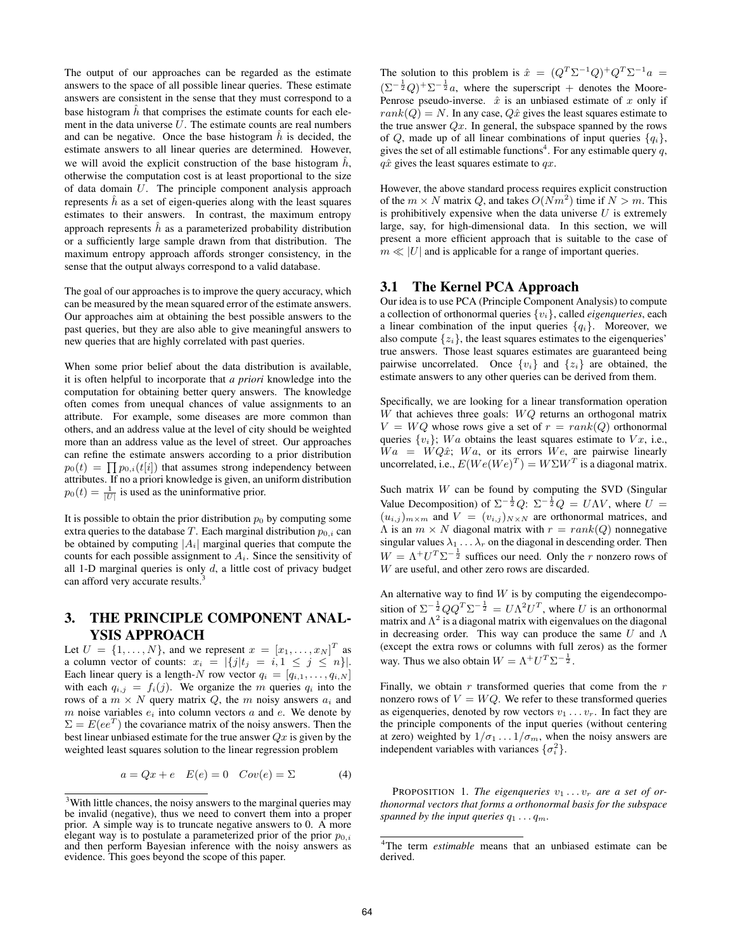The output of our approaches can be regarded as the estimate answers to the space of all possible linear queries. These estimate answers are consistent in the sense that they must correspond to a base histogram  $\hat{h}$  that comprises the estimate counts for each element in the data universe  $\bar{U}$ . The estimate counts are real numbers and can be negative. Once the base histogram  $\hat{h}$  is decided, the estimate answers to all linear queries are determined. However, we will avoid the explicit construction of the base histogram  $\hat{h}$ , otherwise the computation cost is at least proportional to the size of data domain U. The principle component analysis approach represents  $h$  as a set of eigen-queries along with the least squares estimates to their answers. In contrast, the maximum entropy approach represents  $\hat{h}$  as a parameterized probability distribution or a sufficiently large sample drawn from that distribution. The maximum entropy approach affords stronger consistency, in the sense that the output always correspond to a valid database.

The goal of our approaches is to improve the query accuracy, which can be measured by the mean squared error of the estimate answers. Our approaches aim at obtaining the best possible answers to the past queries, but they are also able to give meaningful answers to new queries that are highly correlated with past queries.

When some prior belief about the data distribution is available, it is often helpful to incorporate that *a priori* knowledge into the computation for obtaining better query answers. The knowledge often comes from unequal chances of value assignments to an attribute. For example, some diseases are more common than others, and an address value at the level of city should be weighted more than an address value as the level of street. Our approaches can refine the estimate answers according to a prior distribution  $p_0(t) = \prod p_{0,i}(t[i])$  that assumes strong independency between attributes. If no a priori knowledge is given, an uniform distribution  $p_0(t) = \frac{1}{|U|}$  is used as the uninformative prior.

It is possible to obtain the prior distribution  $p_0$  by computing some extra queries to the database T. Each marginal distribution  $p_{0,i}$  can be obtained by computing  $|A_i|$  marginal queries that compute the counts for each possible assignment to  $A_i$ . Since the sensitivity of all 1-D marginal queries is only  $d$ , a little cost of privacy budget can afford very accurate results.<sup>3</sup>

# 3. THE PRINCIPLE COMPONENT ANAL-YSIS APPROACH

Let  $U = \{1, \ldots, N\}$ , and we represent  $x = [x_1, \ldots, x_N]^T$  as a column vector of counts:  $x_i = |\{j | t_j = i, 1 \le j \le n\}|.$ Each linear query is a length-N row vector  $q_i = [q_{i,1}, \ldots, q_{i,N}]$ with each  $q_{i,j} = f_i(j)$ . We organize the m queries  $q_i$  into the rows of a  $m \times N$  query matrix Q, the m noisy answers  $a_i$  and m noise variables  $e_i$  into column vectors a and e. We denote by  $\Sigma = E(ee^{T})$  the covariance matrix of the noisy answers. Then the best linear unbiased estimate for the true answer  $Qx$  is given by the weighted least squares solution to the linear regression problem

$$
a = Qx + e \quad E(e) = 0 \quad Cov(e) = \Sigma \tag{4}
$$

The solution to this problem is  $\hat{x} = (Q^T \Sigma^{-1} Q)^+ Q^T \Sigma^{-1} a =$  $(\Sigma^{-\frac{1}{2}}Q)^+\Sigma^{-\frac{1}{2}}a$ , where the superscript + denotes the Moore-Penrose pseudo-inverse.  $\hat{x}$  is an unbiased estimate of x only if  $rank(Q) = N$ . In any case,  $Q\hat{x}$  gives the least squares estimate to the true answer  $Qx$ . In general, the subspace spanned by the rows of Q, made up of all linear combinations of input queries  $\{q_i\}$ , gives the set of all estimable functions<sup>4</sup>. For any estimable query  $q$ ,  $q\hat{x}$  gives the least squares estimate to  $qx$ .

However, the above standard process requires explicit construction of the  $m \times N$  matrix Q, and takes  $O(Nm^2)$  time if  $N > m$ . This is prohibitively expensive when the data universe  $U$  is extremely large, say, for high-dimensional data. In this section, we will present a more efficient approach that is suitable to the case of  $m \ll |U|$  and is applicable for a range of important queries.

#### 3.1 The Kernel PCA Approach

Our idea is to use PCA (Principle Component Analysis) to compute a collection of orthonormal queries {vi}, called *eigenqueries*, each a linear combination of the input queries  ${q_i}$ . Moreover, we also compute  $\{z_i\}$ , the least squares estimates to the eigenqueries' true answers. Those least squares estimates are guaranteed being pairwise uncorrelated. Once  $\{v_i\}$  and  $\{z_i\}$  are obtained, the estimate answers to any other queries can be derived from them.

Specifically, we are looking for a linear transformation operation  $W$  that achieves three goals:  $WQ$  returns an orthogonal matrix  $V = WQ$  whose rows give a set of  $r = rank(Q)$  orthonormal queries  $\{v_i\}$ ; Wa obtains the least squares estimate to Vx, i.e.,  $Wa = WQ\hat{x}$ ;  $Wa$ , or its errors  $We$ , are pairwise linearly uncorrelated, i.e.,  $E(We(We)^T) = W\Sigma W^T$  is a diagonal matrix.

Such matrix  $W$  can be found by computing the SVD (Singular Value Decomposition) of  $\Sigma^{-\frac{1}{2}}Q$ :  $\Sigma^{-\frac{1}{2}}Q = U\Lambda V$ , where  $U =$  $(u_{i,j})_{m \times m}$  and  $V = (v_{i,j})_{N \times N}$  are orthonormal matrices, and  $\Lambda$  is an  $m \times N$  diagonal matrix with  $r = rank(Q)$  nonnegative singular values  $\lambda_1 \ldots \lambda_r$  on the diagonal in descending order. Then  $W = \Lambda^+ U^T \Sigma^{-\frac{1}{2}}$  suffices our need. Only the r nonzero rows of W are useful, and other zero rows are discarded.

An alternative way to find  $W$  is by computing the eigendecomposition of  $\Sigma^{-\frac{1}{2}}QQ^T\Sigma^{-\frac{1}{2}} = U\Lambda^2 U^T$ , where U is an orthonormal matrix and  $\Lambda^2$  is a diagonal matrix with eigenvalues on the diagonal in decreasing order. This way can produce the same  $U$  and  $\Lambda$ (except the extra rows or columns with full zeros) as the former way. Thus we also obtain  $W = \Lambda^+ U^T \Sigma^{-\frac{1}{2}}$ .

Finally, we obtain  $r$  transformed queries that come from the  $r$ nonzero rows of  $V = WQ$ . We refer to these transformed queries as eigenqueries, denoted by row vectors  $v_1 \ldots v_r$ . In fact they are the principle components of the input queries (without centering at zero) weighted by  $1/\sigma_1 \ldots 1/\sigma_m$ , when the noisy answers are independent variables with variances  $\{\sigma_i^2\}$ .

PROPOSITION 1. The eigenqueries  $v_1 \ldots v_r$  are a set of or*thonormal vectors that forms a orthonormal basis for the subspace spanned by the input queries*  $q_1 \ldots q_m$ .

<sup>&</sup>lt;sup>3</sup>With little chances, the noisy answers to the marginal queries may be invalid (negative), thus we need to convert them into a proper prior. A simple way is to truncate negative answers to 0. A more elegant way is to postulate a parameterized prior of the prior  $p_{0,i}$ and then perform Bayesian inference with the noisy answers as evidence. This goes beyond the scope of this paper.

<sup>4</sup>The term *estimable* means that an unbiased estimate can be derived.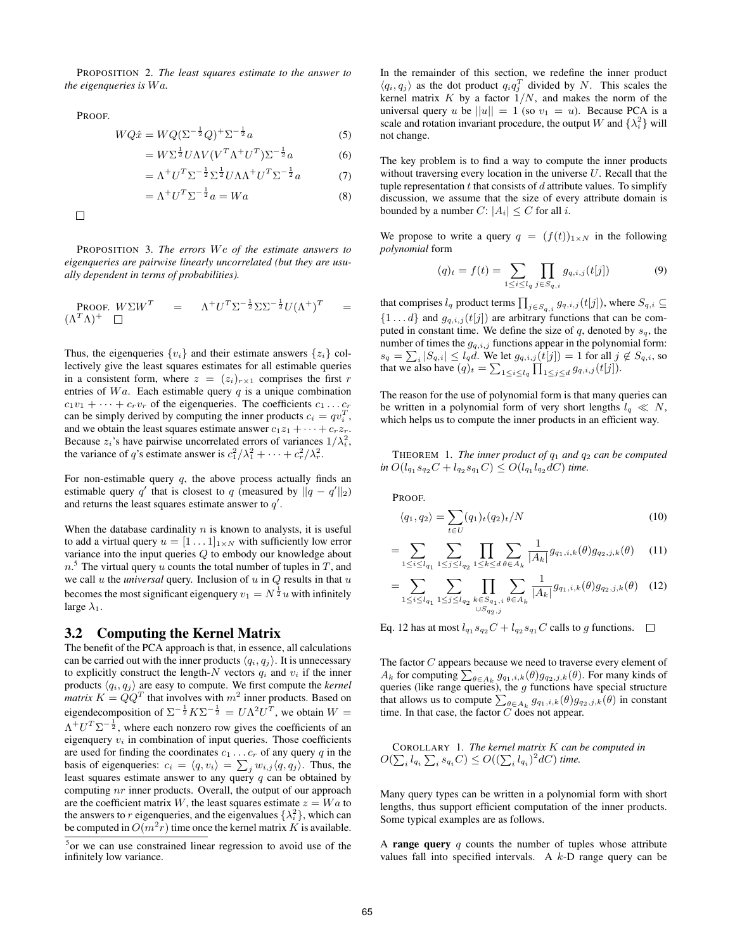PROPOSITION 2. *The least squares estimate to the answer to the eigenqueries is* W a*.*

PROOF.

$$
WQ\hat{x} = WQ(\Sigma^{-\frac{1}{2}}Q)^{+}\Sigma^{-\frac{1}{2}}a
$$
 (5)

$$
= W\Sigma^{\frac{1}{2}} U\Lambda V (V^T \Lambda^+ U^T) \Sigma^{-\frac{1}{2}} a \tag{6}
$$

$$
= \Lambda^+ U^T \Sigma^{-\frac{1}{2}} \Sigma^{\frac{1}{2}} U \Lambda \Lambda^+ U^T \Sigma^{-\frac{1}{2}} a \tag{7}
$$

$$
= \Lambda^+ U^T \Sigma^{-\frac{1}{2}} a = W a \tag{8}
$$

 $\Box$ 

PROPOSITION 3. The errors We of the estimate answers to *eigenqueries are pairwise linearly uncorrelated (but they are usually dependent in terms of probabilities).*

PROOF. 
$$
W\Sigma W^T
$$
 =  $\Lambda^+ U^T \Sigma^{-\frac{1}{2}} \Sigma \Sigma^{-\frac{1}{2}} U (\Lambda^+)^T$  =  $(\Lambda^T \Lambda)^+$   $\square$ 

Thus, the eigenqueries  $\{v_i\}$  and their estimate answers  $\{z_i\}$  collectively give the least squares estimates for all estimable queries in a consistent form, where  $z = (z_i)_{r \times 1}$  comprises the first r entries of  $Wa$ . Each estimable query q is a unique combination  $c_1v_1 + \cdots + c_rv_r$  of the eigenqueries. The coefficients  $c_1 \ldots c_r$ can be simply derived by computing the inner products  $c_i = qv_i^T$ , and we obtain the least squares estimate answer  $c_1z_1 + \cdots + c_rz_r$ . Because  $z_i$ 's have pairwise uncorrelated errors of variances  $1/\lambda_i^2$ , the variance of q's estimate answer is  $c_1^2/\lambda_1^2 + \cdots + c_r^2/\lambda_r^2$ .

For non-estimable query  $q$ , the above process actually finds an estimable query q' that is closest to q (measured by  $||q - q'||_2$ ) and returns the least squares estimate answer to  $q'$ .

When the database cardinality  $n$  is known to analysts, it is useful to add a virtual query  $u = [1 \dots 1]_{1 \times N}$  with sufficiently low error variance into the input queries Q to embody our knowledge about  $n<sup>5</sup>$ . The virtual query u counts the total number of tuples in T, and we call  $u$  the *universal* query. Inclusion of  $u$  in  $Q$  results in that  $u$ becomes the most significant eigenquery  $v_1 = N^{\frac{1}{2}}u$  with infinitely large  $\lambda_1$ .

# 3.2 Computing the Kernel Matrix

The benefit of the PCA approach is that, in essence, all calculations can be carried out with the inner products  $\langle q_i, q_j \rangle$ . It is unnecessary to explicitly construct the length- $N$  vectors  $q_i$  and  $v_i$  if the inner products  $\langle q_i, q_j \rangle$  are easy to compute. We first compute the *kernel matrix*  $K = QQ^T$  that involves with  $m^2$  inner products. Based on eigendecomposition of  $\Sigma^{-\frac{1}{2}} K \Sigma^{-\frac{1}{2}} = U \Lambda^2 U^T$ , we obtain  $W =$  $\Lambda^+ U^T \Sigma^{-\frac{1}{2}}$ , where each nonzero row gives the coefficients of an eigenquery  $v_i$  in combination of input queries. Those coefficients are used for finding the coordinates  $c_1 \ldots c_r$  of any query q in the basis of eigenqueries:  $c_i = \langle q, v_i \rangle = \sum_j w_{i,j} \langle q, q_j \rangle$ . Thus, the least squares estimate answer to any query  $q$  can be obtained by computing  $nr$  inner products. Overall, the output of our approach are the coefficient matrix W, the least squares estimate  $z = Wa$  to the answers to r eigenqueries, and the eigenvalues  $\{\lambda_i^2\}$ , which can be computed in  $O(m^2r)$  time once the kernel matrix K is available.

In the remainder of this section, we redefine the inner product  $\langle q_i, q_j \rangle$  as the dot product  $q_i q_j^T$  divided by N. This scales the kernel matrix  $K$  by a factor  $1/N$ , and makes the norm of the universal query u be  $||u|| = 1$  (so  $v_1 = u$ ). Because PCA is a scale and rotation invariant procedure, the output W and  $\{\lambda_i^2\}$  will not change.

The key problem is to find a way to compute the inner products without traversing every location in the universe  $U$ . Recall that the tuple representation  $t$  that consists of  $d$  attribute values. To simplify discussion, we assume that the size of every attribute domain is bounded by a number  $C: |A_i| \leq C$  for all i.

We propose to write a query  $q = (f(t))_{1 \times N}$  in the following *polynomial* form

$$
(q)_t = f(t) = \sum_{1 \le i \le l_q} \prod_{j \in S_{q,i}} g_{q,i,j}(t[j])
$$
 (9)

that comprises  $l_q$  product terms  $\prod_{j \in S_{q,i}} g_{q,i,j}(t[j])$ , where  $S_{q,i} \subseteq$  $\{1 \dots d\}$  and  $g_{q,i,j}(t[j])$  are arbitrary functions that can be computed in constant time. We define the size of q, denoted by  $s_q$ , the number of times the  $g_{q,i,j}$  functions appear in the polynomial form:  $s_q = \sum_i |S_{q,i}| \leq l_q d.$  We let  $g_{q,i,j}(t[j]) = 1$  for all  $j \notin S_{q,i}$ , so that we also have  $(q)_t = \sum_{1 \leq i \leq l_q} \prod_{1 \leq j \leq d} g_{q,i,j}(t[j])$ .

The reason for the use of polynomial form is that many queries can be written in a polynomial form of very short lengths  $l_q \ll N$ , which helps us to compute the inner products in an efficient way.

THEOREM 1. *The inner product of*  $q_1$  *and*  $q_2$  *can be computed in*  $O(l_{q_1} s_{q_2} C + l_{q_2} s_{q_1} C) \le O(l_{q_1} l_{q_2} dC)$  *time.* 

PROOF.

$$
\langle q_1, q_2 \rangle = \sum_{t \in U} (q_1)_t (q_2)_t / N \tag{10}
$$

$$
= \sum_{1 \le i \le l_{q_1}} \sum_{1 \le j \le l_{q_2}} \prod_{1 \le k \le d} \sum_{\theta \in A_k} \frac{1}{|A_k|} g_{q_1, i, k}(\theta) g_{q_2, j, k}(\theta) \tag{11}
$$

$$
= \sum_{1 \leq i \leq l_{q_1}} \sum_{1 \leq j \leq l_{q_2}} \prod_{\substack{k \in S_{q_1,i} \\ \cup S_{q_2,j}}} \sum_{\theta \in A_k} \frac{1}{|A_k|} g_{q_1,i,k}(\theta) g_{q_2,j,k}(\theta) \quad (12)
$$

Eq. 12 has at most  $l_{q_1} s_{q_2} C + l_{q_2} s_{q_1} C$  calls to g functions.

The factor C appears because we need to traverse every element of  $A_k$  for computing  $\sum_{\theta \in A_k} g_{q_1,i,k}(\theta) g_{q_2,j,k}(\theta)$ . For many kinds of queries (like range queries), the  $g$  functions have special structure that allows us to compute  $\sum_{\theta \in A_k} g_{q_1,i,k}(\theta) g_{q_2,j,k}(\theta)$  in constant time. In that case, the factor  $C$  does not appear.

COROLLARY 1. *The kernel matrix* K *can be computed in*  $O(\sum_i l_{q_i} \sum_i s_{q_i} C) \leq O((\sum_i l_{q_i})^2 dC)$  time.

Many query types can be written in a polynomial form with short lengths, thus support efficient computation of the inner products. Some typical examples are as follows.

A range query  $q$  counts the number of tuples whose attribute values fall into specified intervals. A  $k$ -D range query can be

<sup>&</sup>lt;sup>5</sup> or we can use constrained linear regression to avoid use of the infinitely low variance.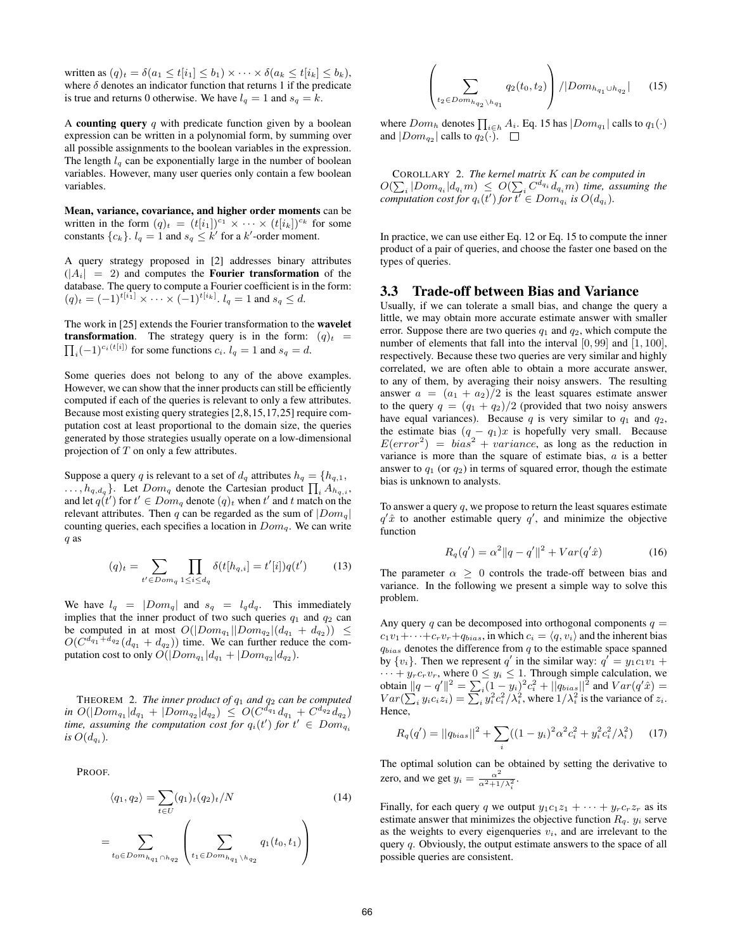written as  $(q)_t = \delta(a_1 \leq t[i_1] \leq b_1) \times \cdots \times \delta(a_k \leq t[i_k] \leq b_k),$ where  $\delta$  denotes an indicator function that returns 1 if the predicate is true and returns 0 otherwise. We have  $l_q = 1$  and  $s_q = k$ .

A counting query  $q$  with predicate function given by a boolean expression can be written in a polynomial form, by summing over all possible assignments to the boolean variables in the expression. The length  $l_q$  can be exponentially large in the number of boolean variables. However, many user queries only contain a few boolean variables.

Mean, variance, covariance, and higher order moments can be written in the form  $(q)_t = (t[i_1])^{c_1} \times \cdots \times (t[i_k])^{c_k}$  for some constants  $\{c_k\}$ .  $l_q = 1$  and  $s_q \leq k'$  for a k'-order moment.

A query strategy proposed in [2] addresses binary attributes  $(|A_i| = 2)$  and computes the **Fourier transformation** of the database. The query to compute a Fourier coefficient is in the form:  $(q)_t = (-1)^{t[i_1]} \times \cdots \times (-1)^{t[i_k]}$ .  $l_q = 1$  and  $s_q \leq d$ .

The work in [25] extends the Fourier transformation to the wavelet **transformation.** The strategy query is in the form:  $(q)_t$  =  $\prod_i (-1)^{c_i(t[i])}$  for some functions  $c_i$ .  $l_q = 1$  and  $s_q = d$ .

Some queries does not belong to any of the above examples. However, we can show that the inner products can still be efficiently computed if each of the queries is relevant to only a few attributes. Because most existing query strategies [2,8,15,17,25] require computation cost at least proportional to the domain size, the queries generated by those strategies usually operate on a low-dimensional projection of  $T$  on only a few attributes.

Suppose a query q is relevant to a set of  $d_q$  attributes  $h_q = \{h_{q,1},$  $\ldots, h_{q,d_q}$ . Let  $Dom_q$  denote the Cartesian product  $\prod_i A_{h_{q,i}}$ , and let  $q(t')$  for  $t' \in Dom_q$  denote  $(q)_t$  when  $t'$  and  $t$  match on the relevant attributes. Then q can be regarded as the sum of  $|Dom_q|$ counting queries, each specifies a location in  $Dom_q$ . We can write q as

$$
(q)_t = \sum_{t' \in Dom_q} \prod_{1 \le i \le d_q} \delta(t[h_{q,i}] = t'[i])q(t')
$$
 (13)

We have  $l_q = |Dom_q|$  and  $s_q = l_q d_q$ . This immediately implies that the inner product of two such queries  $q_1$  and  $q_2$  can be computed in at most  $O(|Dom_{q_1}||Dom_{q_2}|(d_{q_1} + d_{q_2})) \le$  $O(C^{d_{q_1}+d_{q_2}}(d_{q_1}+d_{q_2}))$  time. We can further reduce the computation cost to only  $O(|Dom_{q_1}|d_{q_1} + |Dom_{q_2}|d_{q_2})$ .

THEOREM 2. *The inner product of*  $q_1$  *and*  $q_2$  *can be computed*  $\int$  *in*  $O(|Dom_{q_1}|d_{q_1} + |Dom_{q_2}|d_{q_2}) \leq O(C^{d_{q_1}}d_{q_1} + C^{d_{q_2}}d_{q_2})$  $time$ , assuming the computation cost for  $q_i(t')$  for  $t' \in Dom_{q_i}$ *is*  $O(d_{q_i})$ .

PROOF.

$$
\langle q_1, q_2 \rangle = \sum_{t \in U} (q_1)_t (q_2)_t / N \tag{14}
$$
\n
$$
= \sum_{t_0 \in Dom_{h_{q_1} \cap h_{q_2}}} \left( \sum_{t_1 \in Dom_{h_{q_1} \setminus h_{q_2}}} q_1(t_0, t_1) \right)
$$

$$
\left(\sum_{t_2 \in Dom_{h_{q_2} \setminus h_{q_1}}} q_2(t_0, t_2)\right) / |Dom_{h_{q_1} \cup h_{q_2}}| \qquad (15)
$$

where  $Dom_h$  denotes  $\prod_{i \in h} A_i$ . Eq. 15 has  $|Dom_{q_1}|$  calls to  $q_1(\cdot)$ and  $|Dom_{q_2}|$  calls to  $q_2(\cdot)$ .

COROLLARY 2. *The kernel matrix* K *can be computed in*  $O(\sum_i |Dom_{q_i}|d_{q_i}m) \ \leq \ O(\sum_i C^{d_{q_i}}d_{q_i}m)$  time, assuming the *computation cost for*  $q_i(\overline{t}')$  *for*  $\overline{t'} \in Dom_{q_i}$  *is*  $O(d_{q_i})$ *.* 

In practice, we can use either Eq. 12 or Eq. 15 to compute the inner product of a pair of queries, and choose the faster one based on the types of queries.

# 3.3 Trade-off between Bias and Variance

Usually, if we can tolerate a small bias, and change the query a little, we may obtain more accurate estimate answer with smaller error. Suppose there are two queries  $q_1$  and  $q_2$ , which compute the number of elements that fall into the interval [0, 99] and [1, 100], respectively. Because these two queries are very similar and highly correlated, we are often able to obtain a more accurate answer, to any of them, by averaging their noisy answers. The resulting answer  $a = (a_1 + a_2)/2$  is the least squares estimate answer to the query  $q = (q_1 + q_2)/2$  (provided that two noisy answers have equal variances). Because  $q$  is very similar to  $q_1$  and  $q_2$ , the estimate bias  $(q - q_1)x$  is hopefully very small. Because  $E(error^2) = bias^2 + variance$ , as long as the reduction in variance is more than the square of estimate bias, a is a better answer to  $q_1$  (or  $q_2$ ) in terms of squared error, though the estimate bias is unknown to analysts.

To answer a query  $q$ , we propose to return the least squares estimate  $q' \hat{x}$  to another estimable query  $q'$ , and minimize the objective function

$$
R_q(q') = \alpha^2 \|q - q'\|^2 + Var(q'\hat{x})
$$
 (16)

The parameter  $\alpha \geq 0$  controls the trade-off between bias and variance. In the following we present a simple way to solve this problem.

Any query q can be decomposed into orthogonal components  $q =$  $c_1v_1+\cdots+c_rv_r+q_{bias}$ , in which  $c_i = \langle q, v_i \rangle$  and the inherent bias  $q_{bias}$  denotes the difference from q to the estimable space spanned by  $\{v_i\}$ . Then we represent q' in the similar way:  $q' = y_1 c_1 v_1 +$  $\cdots + y_r c_r v_r$ , where  $0 \le y_i \le 1$ . Through simple calculation, we obtain  $||q - q'||^2 = \sum_{i} (1 - y_i)^2 c_i^2 + ||q_{bias}||^2$  and  $Var(q'\hat{x}) =$  $Var(\sum_{i} y_i c_i z_i) = \sum_{i} y_i^2 c_i^2 / \lambda_i^2$ , where  $1/\lambda_i^2$  is the variance of  $z_i$ . Hence,

$$
R_q(q') = ||q_{bias}||^2 + \sum_i ((1 - y_i)^2 \alpha^2 c_i^2 + y_i^2 c_i^2 / \lambda_i^2)
$$
 (17)

The optimal solution can be obtained by setting the derivative to zero, and we get  $y_i = \frac{\alpha^2}{\alpha^2 + 1/\lambda_i^2}$ .

Finally, for each query q we output  $y_1c_1z_1 + \cdots + y_r c_rz_r$  as its estimate answer that minimizes the objective function  $R_q$ ,  $y_i$  serve as the weights to every eigenqueries  $v_i$ , and are irrelevant to the query  $q$ . Obviously, the output estimate answers to the space of all possible queries are consistent.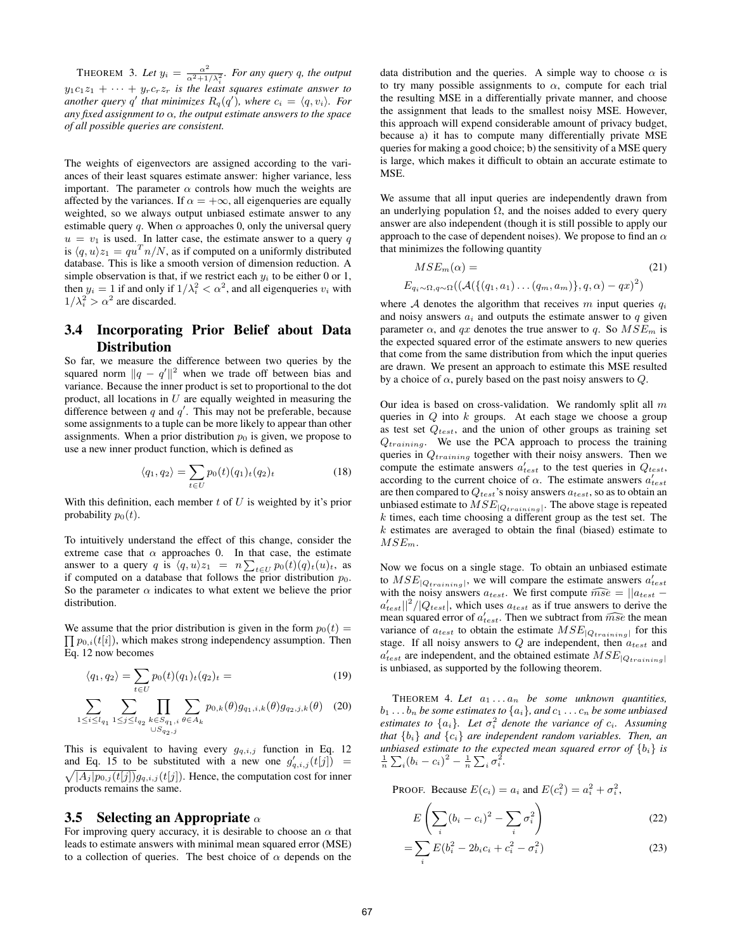**THEOREM** 3. Let  $y_i = \frac{\alpha^2}{\alpha^2 + 1/\lambda_i^2}$ . For any query q, the output  $y_1c_1z_1 + \cdots + y_r c_rz_r$  *is the least squares estimate answer to* another query  $q'$  that minimizes  $R_q(q')$ , where  $c_i = \langle q, v_i \rangle$ . For *any fixed assignment to* α*, the output estimate answers to the space of all possible queries are consistent.*

The weights of eigenvectors are assigned according to the variances of their least squares estimate answer: higher variance, less important. The parameter  $\alpha$  controls how much the weights are affected by the variances. If  $\alpha = +\infty$ , all eigenqueries are equally weighted, so we always output unbiased estimate answer to any estimable query q. When  $\alpha$  approaches 0, only the universal query  $u = v_1$  is used. In latter case, the estimate answer to a query q is  $\langle q, u \rangle z_1 = q u^T n/N$ , as if computed on a uniformly distributed database. This is like a smooth version of dimension reduction. A simple observation is that, if we restrict each  $y_i$  to be either 0 or 1, then  $y_i = 1$  if and only if  $1/\lambda_i^2 < \alpha^2$ , and all eigenqueries  $v_i$  with  $1/\lambda_i^2 > \alpha^2$  are discarded.

# 3.4 Incorporating Prior Belief about Data **Distribution**

So far, we measure the difference between two queries by the squared norm  $||q - q'||^2$  when we trade off between bias and variance. Because the inner product is set to proportional to the dot product, all locations in  $U$  are equally weighted in measuring the difference between q and  $q'$ . This may not be preferable, because some assignments to a tuple can be more likely to appear than other assignments. When a prior distribution  $p_0$  is given, we propose to use a new inner product function, which is defined as

$$
\langle q_1, q_2 \rangle = \sum_{t \in U} p_0(t) (q_1)_t (q_2)_t \tag{18}
$$

With this definition, each member  $t$  of  $U$  is weighted by it's prior probability  $p_0(t)$ .

To intuitively understand the effect of this change, consider the extreme case that  $\alpha$  approaches 0. In that case, the estimate answer to a query q is  $\langle q, u \rangle z_1 = n \sum_{t \in U} p_0(t)(q)_t(u)_t$ , as if computed on a database that follows the prior distribution  $p_0$ . So the parameter  $\alpha$  indicates to what extent we believe the prior distribution.

We assume that the prior distribution is given in the form  $p_0(t) =$  $\prod p_{0,i}(t[i])$ , which makes strong independency assumption. Then Eq. 12 now becomes

$$
\langle q_1, q_2 \rangle = \sum_{t \in U} p_0(t)(q_1)_t (q_2)_t = \tag{19}
$$

$$
\sum_{1 \leq i \leq l_{q_1}} \sum_{1 \leq j \leq l_{q_2}} \prod_{\substack{k \in S_{q_1,i} \\ \cup S_{q_2,j}}} \sum_{\theta \in A_k} p_{0,k}(\theta) g_{q_1,i,k}(\theta) g_{q_2,j,k}(\theta) \quad (20)
$$

This is equivalent to having every  $g_{q,i,j}$  function in Eq. 12 and Eq. 15 to be substituted with a new one  $g'_{q,i,j}(t[j]) =$  $\sqrt{|A_j|p_{0,j}(t[j]]}g_{q,i,j}(t[j])$ . Hence, the computation cost for inner products remains the same.

# 3.5 Selecting an Appropriate  $\alpha$

For improving query accuracy, it is desirable to choose an  $\alpha$  that leads to estimate answers with minimal mean squared error (MSE) to a collection of queries. The best choice of  $\alpha$  depends on the

data distribution and the queries. A simple way to choose  $\alpha$  is to try many possible assignments to  $\alpha$ , compute for each trial the resulting MSE in a differentially private manner, and choose the assignment that leads to the smallest noisy MSE. However, this approach will expend considerable amount of privacy budget, because a) it has to compute many differentially private MSE queries for making a good choice; b) the sensitivity of a MSE query is large, which makes it difficult to obtain an accurate estimate to MSE.

We assume that all input queries are independently drawn from an underlying population  $\Omega$ , and the noises added to every query answer are also independent (though it is still possible to apply our approach to the case of dependent noises). We propose to find an  $\alpha$ that minimizes the following quantity

$$
MSE_m(\alpha) = \tag{21}
$$

 $E_{q_i \sim \Omega, q \sim \Omega}((\mathcal{A}(\{(q_1, a_1) \dots (q_m, a_m)\}, q, \alpha) - qx)^2)$ 

where A denotes the algorithm that receives  $m$  input queries  $q_i$ and noisy answers  $a_i$  and outputs the estimate answer to  $q$  given parameter  $\alpha$ , and qx denotes the true answer to q. So  $MSE_m$  is the expected squared error of the estimate answers to new queries that come from the same distribution from which the input queries are drawn. We present an approach to estimate this MSE resulted by a choice of  $\alpha$ , purely based on the past noisy answers to  $Q$ .

Our idea is based on cross-validation. We randomly split all  $m$ queries in  $Q$  into  $k$  groups. At each stage we choose a group as test set  $Q_{test}$ , and the union of other groups as training set  $Q_{training}$ . We use the PCA approach to process the training queries in  $Q_{training}$  together with their noisy answers. Then we compute the estimate answers  $a'_{test}$  to the test queries in  $Q_{test}$ , according to the current choice of  $\alpha$ . The estimate answers  $a'_{test}$ are then compared to  $Q_{test}$ 's noisy answers  $a_{test}$ , so as to obtain an unbiased estimate to  $MSE_{|Q_{training}|}$ . The above stage is repeated  $k$  times, each time choosing a different group as the test set. The  $k$  estimates are averaged to obtain the final (biased) estimate to  $MSE_m$ .

Now we focus on a single stage. To obtain an unbiased estimate to  $MSE_{|Q_{training}|}$ , we will compare the estimate answers  $a'_{test}$ with the noisy answers  $a_{test}$ . We first compute  $\widehat{mse} = ||a_{test} - b||$  $a'_{test}$ ||<sup>2</sup>/|Q<sub>test</sub>|, which uses  $a_{test}$  as if true answers to derive the mean squared error of  $a'_{test}$ . Then we subtract from  $\widehat{mse}$  the mean variance of  $a_{test}$  to obtain the estimate  $MSE_{|Q_{training}|}$  for this stage. If all noisy answers to  $Q$  are independent, then  $a_{test}$  and  $a'_{test}$  are independent, and the obtained estimate  $MSE_{|Q_{training}|}$ is unbiased, as supported by the following theorem.

THEOREM 4. Let  $a_1 \ldots a_n$  be some unknown quantities,  $b_1 \ldots b_n$  *be some estimates to*  $\{a_i\}$ *, and*  $c_1 \ldots c_n$  *be some unbiased estimates to*  $\{a_i\}$ *. Let*  $\sigma_i^2$  *denote the variance of*  $c_i$ *. Assuming that*  ${b_i}$  *and*  ${c_i}$  *are independent random variables. Then, an unbiased estimate to the expected mean squared error of*  ${b_i}$  *is*  $\frac{1}{n} \sum_i (b_i - c_i)^2 - \frac{1}{n} \sum_i \sigma_i^2.$ 

PROOF. Because  $E(c_i) = a_i$  and  $E(c_i^2) = a_i^2 + \sigma_i^2$ ,

$$
E\left(\sum_{i}(b_i-c_i)^2-\sum_{i}\sigma_i^2\right)
$$
 (22)

$$
=\sum_{i} E(b_i^2 - 2b_i c_i + c_i^2 - \sigma_i^2)
$$
\n(23)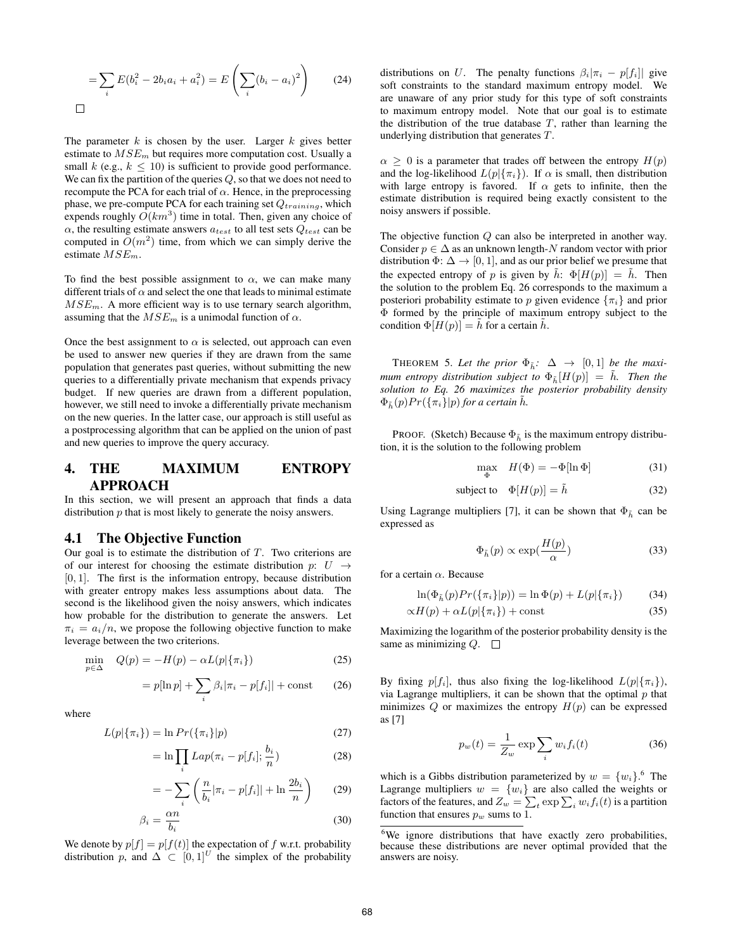$$
= \sum_{i} E(b_i^2 - 2b_i a_i + a_i^2) = E\left(\sum_{i} (b_i - a_i)^2\right)
$$
 (24)

The parameter  $k$  is chosen by the user. Larger  $k$  gives better estimate to  $MSE_m$  but requires more computation cost. Usually a small k (e.g.,  $k \leq 10$ ) is sufficient to provide good performance. We can fix the partition of the queries  $Q$ , so that we does not need to recompute the PCA for each trial of  $\alpha$ . Hence, in the preprocessing phase, we pre-compute PCA for each training set  $Q_{training}$ , which expends roughly  $O(km^3)$  time in total. Then, given any choice of  $\alpha$ , the resulting estimate answers  $a_{test}$  to all test sets  $Q_{test}$  can be computed in  $O(m^2)$  time, from which we can simply derive the estimate  $MSE_m$ .

To find the best possible assignment to  $\alpha$ , we can make many different trials of  $\alpha$  and select the one that leads to minimal estimate  $MSE_m$ . A more efficient way is to use ternary search algorithm, assuming that the  $MSE_m$  is a unimodal function of  $\alpha$ .

Once the best assignment to  $\alpha$  is selected, out approach can even be used to answer new queries if they are drawn from the same population that generates past queries, without submitting the new queries to a differentially private mechanism that expends privacy budget. If new queries are drawn from a different population, however, we still need to invoke a differentially private mechanism on the new queries. In the latter case, our approach is still useful as a postprocessing algorithm that can be applied on the union of past and new queries to improve the query accuracy.

# 4. THE MAXIMUM ENTROPY APPROACH

In this section, we will present an approach that finds a data distribution  $p$  that is most likely to generate the noisy answers.

### 4.1 The Objective Function

Our goal is to estimate the distribution of  $T$ . Two criterions are of our interest for choosing the estimate distribution p:  $U \rightarrow$  $[0, 1]$ . The first is the information entropy, because distribution with greater entropy makes less assumptions about data. The second is the likelihood given the noisy answers, which indicates how probable for the distribution to generate the answers. Let  $\pi_i = a_i/n$ , we propose the following objective function to make leverage between the two criterions.

$$
\min_{p \in \Delta} \quad Q(p) = -H(p) - \alpha L(p|\{\pi_i\}) \tag{25}
$$

$$
= p[\ln p] + \sum_{i} \beta_i |\pi_i - p[f_i]| + \text{const} \qquad (26)
$$

where

$$
L(p|\{\pi_i\}) = \ln Pr(\{\pi_i\}|p)
$$
 (27)

$$
= \ln \prod_{i} Lap(\pi_i - p[f_i]; \frac{b_i}{n})
$$
\n(28)

$$
= -\sum_{i} \left( \frac{n}{b_i} |\pi_i - p[f_i]| + \ln \frac{2b_i}{n} \right) \qquad (29)
$$

$$
\beta_i = \frac{\alpha n}{b_i} \tag{30}
$$

We denote by  $p[f] = p[f(t)]$  the expectation of f w.r.t. probability distribution p, and  $\Delta \subset [0,1]^U$  the simplex of the probability

distributions on U. The penalty functions  $\beta_i|\pi_i - p[f_i]|$  give soft constraints to the standard maximum entropy model. We are unaware of any prior study for this type of soft constraints to maximum entropy model. Note that our goal is to estimate the distribution of the true database  $T$ , rather than learning the underlying distribution that generates T.

 $\alpha \geq 0$  is a parameter that trades off between the entropy  $H(p)$ and the log-likelihood  $L(p|\{\pi_i\})$ . If  $\alpha$  is small, then distribution with large entropy is favored. If  $\alpha$  gets to infinite, then the estimate distribution is required being exactly consistent to the noisy answers if possible.

The objective function Q can also be interpreted in another way. Consider  $p \in \Delta$  as an unknown length-N random vector with prior distribution  $\Phi: \Delta \to [0, 1]$ , and as our prior belief we presume that the expected entropy of p is given by  $\tilde{h}$ :  $\Phi[H(p)] = \tilde{h}$ . Then the solution to the problem Eq. 26 corresponds to the maximum a posteriori probability estimate to p given evidence  $\{\pi_i\}$  and prior Φ formed by the principle of maximum entropy subject to the condition  $\Phi[H(p)] = h$  for a certain h.

THEOREM 5. Let the prior  $\Phi_{\tilde{h}}$ :  $\Delta \rightarrow [0,1]$  be the maxi*mum entropy distribution subject to*  $\Phi_{\tilde{h}}[H(p)] = \tilde{h}$ *. Then the solution to Eq. 26 maximizes the posterior probability density*  $\Phi_{\tilde{h}}(p)Pr(\{\pi_i\}|p)$  *for a certain h*.

PROOF. (Sketch) Because  $\Phi_{\tilde{h}}$  is the maximum entropy distribution, it is the solution to the following problem

$$
\max_{\Phi} \quad H(\Phi) = -\Phi[\ln \Phi] \tag{31}
$$

subject to 
$$
\Phi[H(p)] = \tilde{h}
$$
 (32)

Using Lagrange multipliers [7], it can be shown that  $\Phi_{\tilde{h}}$  can be expressed as

$$
\Phi_{\tilde{h}}(p) \propto \exp(\frac{H(p)}{\alpha})
$$
\n(33)

for a certain  $\alpha$ . Because

$$
\ln(\Phi_{\tilde{h}}(p)Pr(\{\pi_i\}|p)) = \ln \Phi(p) + L(p|\{\pi_i\})
$$
\n(34)

$$
\alpha H(p) + \alpha L(p|\{\pi_i\}) + \text{const}
$$
 (35)

Maximizing the logarithm of the posterior probability density is the same as minimizing  $Q$ .  $\square$ 

By fixing  $p[f_i]$ , thus also fixing the log-likelihood  $L(p|\{\pi_i\})$ , via Lagrange multipliers, it can be shown that the optimal  $p$  that minimizes  $Q$  or maximizes the entropy  $H(p)$  can be expressed as [7]

$$
p_w(t) = \frac{1}{Z_w} \exp \sum_i w_i f_i(t)
$$
 (36)

which is a Gibbs distribution parameterized by  $w = \{w_i\}^6$ . The Lagrange multipliers  $w = \{w_i\}$  are also called the weights or factors of the features, and  $Z_w = \sum_t \exp \sum_i w_i f_i(t)$  is a partition function that ensures  $p_w$  sums to 1.

<sup>&</sup>lt;sup>6</sup>We ignore distributions that have exactly zero probabilities, because these distributions are never optimal provided that the answers are noisy.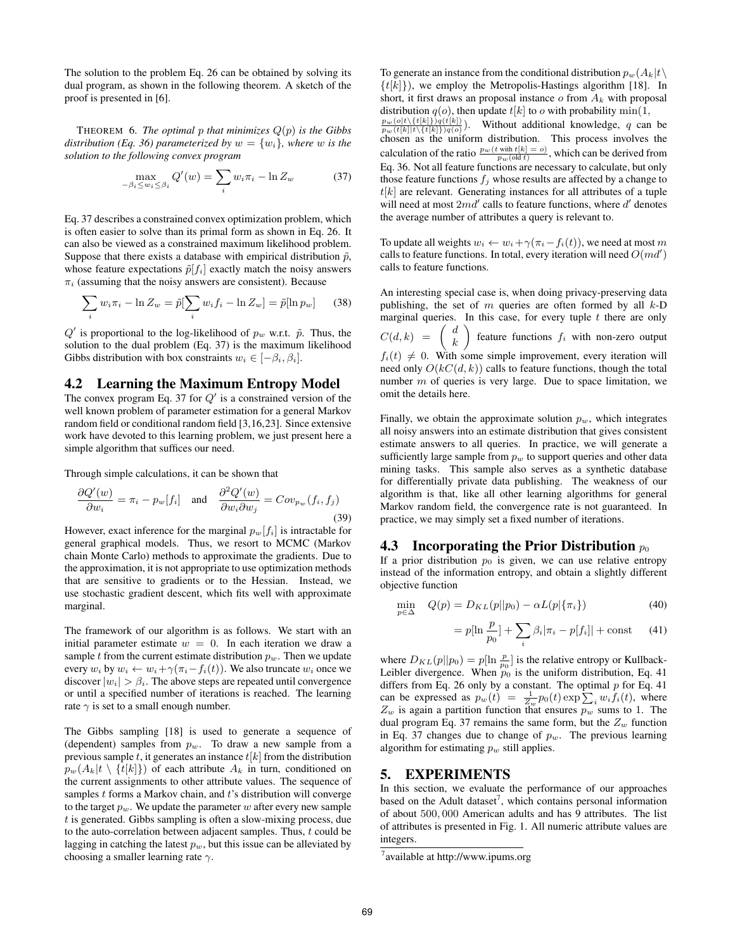The solution to the problem Eq. 26 can be obtained by solving its dual program, as shown in the following theorem. A sketch of the proof is presented in [6].

THEOREM 6. *The optimal* p *that minimizes* Q(p) *is the Gibbs distribution (Eq. 36) parameterized by*  $w = \{w_i\}$ *, where* w *is the solution to the following convex program*

$$
\max_{-\beta_i \le w_i \le \beta_i} Q'(w) = \sum_i w_i \pi_i - \ln Z_w \tag{37}
$$

Eq. 37 describes a constrained convex optimization problem, which is often easier to solve than its primal form as shown in Eq. 26. It can also be viewed as a constrained maximum likelihood problem. Suppose that there exists a database with empirical distribution  $\tilde{p}$ , whose feature expectations  $\tilde{p}[f_i]$  exactly match the noisy answers  $\pi_i$  (assuming that the noisy answers are consistent). Because

$$
\sum_{i} w_i \pi_i - \ln Z_w = \tilde{p} \left[ \sum_{i} w_i f_i - \ln Z_w \right] = \tilde{p} \left[ \ln p_w \right] \tag{38}
$$

 $Q'$  is proportional to the log-likelihood of  $p_w$  w.r.t.  $\tilde{p}$ . Thus, the solution to the dual problem (Eq. 37) is the maximum likelihood Gibbs distribution with box constraints  $w_i \in [-\beta_i, \beta_i]$ .

#### 4.2 Learning the Maximum Entropy Model

The convex program Eq. 37 for  $Q'$  is a constrained version of the well known problem of parameter estimation for a general Markov random field or conditional random field [3,16,23]. Since extensive work have devoted to this learning problem, we just present here a simple algorithm that suffices our need.

Through simple calculations, it can be shown that

$$
\frac{\partial Q'(w)}{\partial w_i} = \pi_i - p_w[f_i] \quad \text{and} \quad \frac{\partial^2 Q'(w)}{\partial w_i \partial w_j} = Cov_{p_w}(f_i, f_j)
$$
\n(39)

However, exact inference for the marginal  $p_w[f_i]$  is intractable for general graphical models. Thus, we resort to MCMC (Markov chain Monte Carlo) methods to approximate the gradients. Due to the approximation, it is not appropriate to use optimization methods that are sensitive to gradients or to the Hessian. Instead, we use stochastic gradient descent, which fits well with approximate marginal.

The framework of our algorithm is as follows. We start with an initial parameter estimate  $w = 0$ . In each iteration we draw a sample t from the current estimate distribution  $p_w$ . Then we update every  $w_i$  by  $w_i \leftarrow w_i + \gamma(\pi_i - f_i(t))$ . We also truncate  $w_i$  once we discover  $|w_i| > \beta_i$ . The above steps are repeated until convergence or until a specified number of iterations is reached. The learning rate  $\gamma$  is set to a small enough number.

The Gibbs sampling [18] is used to generate a sequence of (dependent) samples from  $p_w$ . To draw a new sample from a previous sample t, it generates an instance  $t[k]$  from the distribution  $p_w(A_k|t \setminus \{t[k]\})$  of each attribute  $A_k$  in turn, conditioned on the current assignments to other attribute values. The sequence of samples  $t$  forms a Markov chain, and  $t$ 's distribution will converge to the target  $p_w$ . We update the parameter w after every new sample t is generated. Gibbs sampling is often a slow-mixing process, due to the auto-correlation between adjacent samples. Thus,  $t$  could be lagging in catching the latest  $p_w$ , but this issue can be alleviated by choosing a smaller learning rate  $\gamma$ .

To generate an instance from the conditional distribution  $p_w(A_k|t\setminus$  $\{t[k]\}\)$ , we employ the Metropolis-Hastings algorithm [18]. In short, it first draws an proposal instance  $\sigma$  from  $A_k$  with proposal distribution  $q(o)$ , then update  $t[k]$  to  $o$  with probability min(1,  $\frac{p_w(o|t\setminus\{t[k]\})q(t[k])}{p_w(t[k]|t\setminus\{t[k]\})q(o)}$ . Without additional knowledge, q can be chosen as the uniform distribution. This process involves the calculation of the ratio  $\frac{p_w(t \text{ with } t[k] = o)}{p_w(\text{old } t)}$ , which can be derived from Eq. 36. Not all feature functions are necessary to calculate, but only those feature functions  $f_i$  whose results are affected by a change to  $t[k]$  are relevant. Generating instances for all attributes of a tuple will need at most  $2md'$  calls to feature functions, where  $d'$  denotes the average number of attributes a query is relevant to.

To update all weights  $w_i \leftarrow w_i + \gamma(\pi_i - f_i(t))$ , we need at most m calls to feature functions. In total, every iteration will need  $O(md')$ calls to feature functions.

An interesting special case is, when doing privacy-preserving data publishing, the set of  $m$  queries are often formed by all  $k$ -D marginal queries. In this case, for every tuple  $t$  there are only  $C(d, k) = \begin{pmatrix} d \\ k \end{pmatrix}$ k feature functions  $f_i$  with non-zero output  $f_i(t) \neq 0$ . With some simple improvement, every iteration will need only  $O(kC(d, k))$  calls to feature functions, though the total number  $m$  of queries is very large. Due to space limitation, we omit the details here.

Finally, we obtain the approximate solution  $p_w$ , which integrates all noisy answers into an estimate distribution that gives consistent estimate answers to all queries. In practice, we will generate a sufficiently large sample from  $p_w$  to support queries and other data mining tasks. This sample also serves as a synthetic database for differentially private data publishing. The weakness of our algorithm is that, like all other learning algorithms for general Markov random field, the convergence rate is not guaranteed. In practice, we may simply set a fixed number of iterations.

# 4.3 Incorporating the Prior Distribution  $p_0$

If a prior distribution  $p_0$  is given, we can use relative entropy instead of the information entropy, and obtain a slightly different objective function

$$
\min_{p \in \Delta} \quad Q(p) = D_{KL}(p||p_0) - \alpha L(p|\{\pi_i\}) \tag{40}
$$

$$
= p[\ln \frac{p}{p_0}] + \sum_{i} \beta_i |\pi_i - p[f_i]| + \text{const} \qquad (41)
$$

where  $D_{KL}(p||p_0) = p[\ln \frac{p}{p_0}]$  is the relative entropy or Kullback-Leibler divergence. When  $p_0$  is the uniform distribution, Eq. 41 differs from Eq. 26 only by a constant. The optimal  $p$  for Eq. 41 can be expressed as  $p_w(t) = \frac{1}{Z_w} p_0(t) \exp \sum_i w_i f_i(t)$ , where  $Z_w$  is again a partition function that ensures  $p_w$  sums to 1. The dual program Eq. 37 remains the same form, but the  $Z_w$  function in Eq. 37 changes due to change of  $p_w$ . The previous learning algorithm for estimating  $p_w$  still applies.

### 5. EXPERIMENTS

In this section, we evaluate the performance of our approaches based on the Adult dataset<sup>7</sup>, which contains personal information of about 500, 000 American adults and has 9 attributes. The list of attributes is presented in Fig. 1. All numeric attribute values are integers.

<sup>7</sup> available at http://www.ipums.org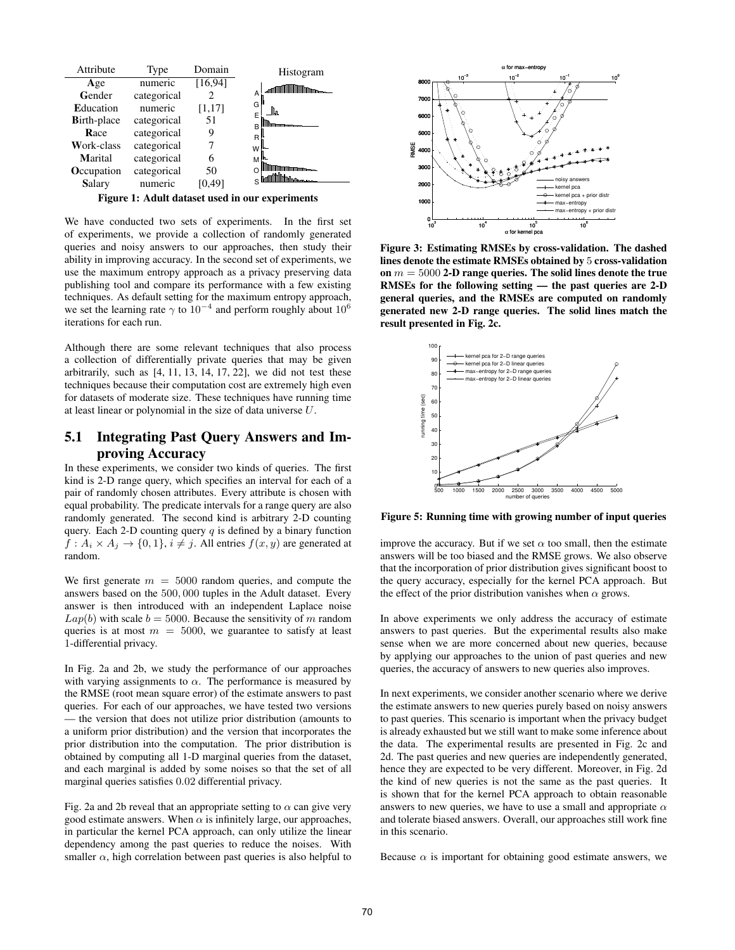

Figure 1: Adult dataset used in our experiments

We have conducted two sets of experiments. In the first set of experiments, we provide a collection of randomly generated queries and noisy answers to our approaches, then study their ability in improving accuracy. In the second set of experiments, we use the maximum entropy approach as a privacy preserving data publishing tool and compare its performance with a few existing techniques. As default setting for the maximum entropy approach, we set the learning rate  $\gamma$  to  $10^{-4}$  and perform roughly about  $10^6$ iterations for each run.

Although there are some relevant techniques that also process a collection of differentially private queries that may be given arbitrarily, such as  $[4, 11, 13, 14, 17, 22]$ , we did not test these techniques because their computation cost are extremely high even for datasets of moderate size. These techniques have running time at least linear or polynomial in the size of data universe U.

# 5.1 Integrating Past Query Answers and Improving Accuracy

In these experiments, we consider two kinds of queries. The first kind is 2-D range query, which specifies an interval for each of a pair of randomly chosen attributes. Every attribute is chosen with equal probability. The predicate intervals for a range query are also randomly generated. The second kind is arbitrary 2-D counting query. Each 2-D counting query  $q$  is defined by a binary function  $f: A_i \times A_j \rightarrow \{0, 1\}, i \neq j$ . All entries  $f(x, y)$  are generated at random.

We first generate  $m = 5000$  random queries, and compute the answers based on the 500, 000 tuples in the Adult dataset. Every answer is then introduced with an independent Laplace noise  $Lap(b)$  with scale  $b = 5000$ . Because the sensitivity of m random queries is at most  $m = 5000$ , we guarantee to satisfy at least 1-differential privacy.

In Fig. 2a and 2b, we study the performance of our approaches with varying assignments to  $\alpha$ . The performance is measured by the RMSE (root mean square error) of the estimate answers to past queries. For each of our approaches, we have tested two versions — the version that does not utilize prior distribution (amounts to a uniform prior distribution) and the version that incorporates the prior distribution into the computation. The prior distribution is obtained by computing all 1-D marginal queries from the dataset, and each marginal is added by some noises so that the set of all marginal queries satisfies 0.02 differential privacy.

Fig. 2a and 2b reveal that an appropriate setting to  $\alpha$  can give very good estimate answers. When  $\alpha$  is infinitely large, our approaches, in particular the kernel PCA approach, can only utilize the linear dependency among the past queries to reduce the noises. With smaller  $\alpha$ , high correlation between past queries is also helpful to



Figure 3: Estimating RMSEs by cross-validation. The dashed lines denote the estimate RMSEs obtained by 5 cross-validation on  $m = 5000$  2-D range queries. The solid lines denote the true RMSEs for the following setting — the past queries are 2-D general queries, and the RMSEs are computed on randomly generated new 2-D range queries. The solid lines match the result presented in Fig. 2c.



Figure 5: Running time with growing number of input queries

improve the accuracy. But if we set  $\alpha$  too small, then the estimate answers will be too biased and the RMSE grows. We also observe that the incorporation of prior distribution gives significant boost to the query accuracy, especially for the kernel PCA approach. But the effect of the prior distribution vanishes when  $\alpha$  grows.

In above experiments we only address the accuracy of estimate answers to past queries. But the experimental results also make sense when we are more concerned about new queries, because by applying our approaches to the union of past queries and new queries, the accuracy of answers to new queries also improves.

In next experiments, we consider another scenario where we derive the estimate answers to new queries purely based on noisy answers to past queries. This scenario is important when the privacy budget is already exhausted but we still want to make some inference about the data. The experimental results are presented in Fig. 2c and 2d. The past queries and new queries are independently generated, hence they are expected to be very different. Moreover, in Fig. 2d the kind of new queries is not the same as the past queries. It is shown that for the kernel PCA approach to obtain reasonable answers to new queries, we have to use a small and appropriate  $\alpha$ and tolerate biased answers. Overall, our approaches still work fine in this scenario.

Because  $\alpha$  is important for obtaining good estimate answers, we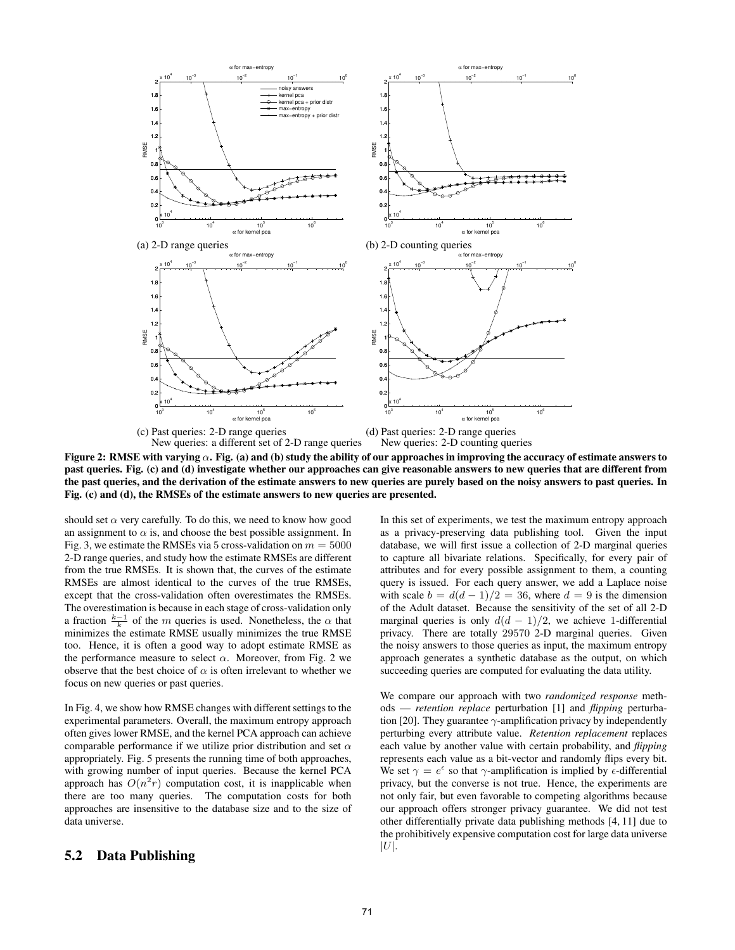

Figure 2: RMSE with varying  $\alpha$ . Fig. (a) and (b) study the ability of our approaches in improving the accuracy of estimate answers to past queries. Fig. (c) and (d) investigate whether our approaches can give reasonable answers to new queries that are different from the past queries, and the derivation of the estimate answers to new queries are purely based on the noisy answers to past queries. In Fig. (c) and (d), the RMSEs of the estimate answers to new queries are presented.

should set  $\alpha$  very carefully. To do this, we need to know how good an assignment to  $\alpha$  is, and choose the best possible assignment. In Fig. 3, we estimate the RMSEs via 5 cross-validation on  $m = 5000$ 2-D range queries, and study how the estimate RMSEs are different from the true RMSEs. It is shown that, the curves of the estimate RMSEs are almost identical to the curves of the true RMSEs, except that the cross-validation often overestimates the RMSEs. The overestimation is because in each stage of cross-validation only a fraction  $\frac{k-1}{k}$  of the m queries is used. Nonetheless, the  $\alpha$  that minimizes the estimate RMSE usually minimizes the true RMSE too. Hence, it is often a good way to adopt estimate RMSE as the performance measure to select  $\alpha$ . Moreover, from Fig. 2 we observe that the best choice of  $\alpha$  is often irrelevant to whether we focus on new queries or past queries.

In Fig. 4, we show how RMSE changes with different settings to the experimental parameters. Overall, the maximum entropy approach often gives lower RMSE, and the kernel PCA approach can achieve comparable performance if we utilize prior distribution and set  $\alpha$ appropriately. Fig. 5 presents the running time of both approaches, with growing number of input queries. Because the kernel PCA approach has  $O(n^2r)$  computation cost, it is inapplicable when there are too many queries. The computation costs for both approaches are insensitive to the database size and to the size of data universe.

# 5.2 Data Publishing

In this set of experiments, we test the maximum entropy approach as a privacy-preserving data publishing tool. Given the input database, we will first issue a collection of 2-D marginal queries to capture all bivariate relations. Specifically, for every pair of attributes and for every possible assignment to them, a counting query is issued. For each query answer, we add a Laplace noise with scale  $b = d(d-1)/2 = 36$ , where  $d = 9$  is the dimension of the Adult dataset. Because the sensitivity of the set of all 2-D marginal queries is only  $d(d - 1)/2$ , we achieve 1-differential privacy. There are totally 29570 2-D marginal queries. Given the noisy answers to those queries as input, the maximum entropy approach generates a synthetic database as the output, on which succeeding queries are computed for evaluating the data utility.

We compare our approach with two *randomized response* methods — *retention replace* perturbation [1] and *flipping* perturbation [20]. They guarantee  $\gamma$ -amplification privacy by independently perturbing every attribute value. *Retention replacement* replaces each value by another value with certain probability, and *flipping* represents each value as a bit-vector and randomly flips every bit. We set  $\gamma = e^{\epsilon}$  so that  $\gamma$ -amplification is implied by  $\epsilon$ -differential privacy, but the converse is not true. Hence, the experiments are not only fair, but even favorable to competing algorithms because our approach offers stronger privacy guarantee. We did not test other differentially private data publishing methods [4, 11] due to the prohibitively expensive computation cost for large data universe  $|U|.$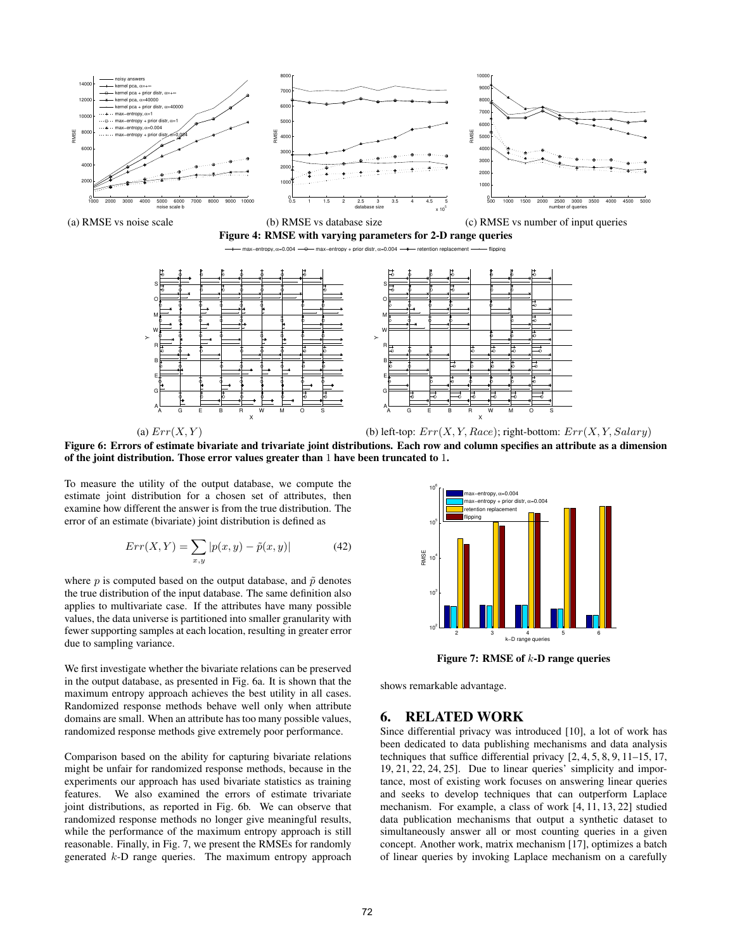

(a) RMSE vs noise scale

(b) RMSE vs database size

(c) RMSE vs number of input queries

Figure 4: RMSE with varying parameters for 2-D range queries  $\alpha$ =0.004  $\rightarrow$  max−entropy + prior distr,  $\alpha$ =0.004 retention



(a)  $Err(X, Y)$ 

(b) left-top:  $Err(X, Y, Race)$ ; right-bottom:  $Err(X, Y, Salary)$ 

Figure 6: Errors of estimate bivariate and trivariate joint distributions. Each row and column specifies an attribute as a dimension of the joint distribution. Those error values greater than 1 have been truncated to 1.

To measure the utility of the output database, we compute the estimate joint distribution for a chosen set of attributes, then examine how different the answer is from the true distribution. The error of an estimate (bivariate) joint distribution is defined as

$$
Err(X, Y) = \sum_{x, y} |p(x, y) - \tilde{p}(x, y)|
$$
 (42)

where  $p$  is computed based on the output database, and  $\tilde{p}$  denotes the true distribution of the input database. The same definition also applies to multivariate case. If the attributes have many possible values, the data universe is partitioned into smaller granularity with fewer supporting samples at each location, resulting in greater error due to sampling variance.

We first investigate whether the bivariate relations can be preserved in the output database, as presented in Fig. 6a. It is shown that the maximum entropy approach achieves the best utility in all cases. Randomized response methods behave well only when attribute domains are small. When an attribute has too many possible values, randomized response methods give extremely poor performance.

Comparison based on the ability for capturing bivariate relations might be unfair for randomized response methods, because in the experiments our approach has used bivariate statistics as training features. We also examined the errors of estimate trivariate joint distributions, as reported in Fig. 6b. We can observe that randomized response methods no longer give meaningful results, while the performance of the maximum entropy approach is still reasonable. Finally, in Fig. 7, we present the RMSEs for randomly generated  $k$ -D range queries. The maximum entropy approach



Figure 7: RMSE of  $k$ -D range queries

shows remarkable advantage.

# 6. RELATED WORK

Since differential privacy was introduced [10], a lot of work has been dedicated to data publishing mechanisms and data analysis techniques that suffice differential privacy [2, 4, 5, 8, 9, 11–15, 17, 19, 21, 22, 24, 25]. Due to linear queries' simplicity and importance, most of existing work focuses on answering linear queries and seeks to develop techniques that can outperform Laplace mechanism. For example, a class of work [4, 11, 13, 22] studied data publication mechanisms that output a synthetic dataset to simultaneously answer all or most counting queries in a given concept. Another work, matrix mechanism [17], optimizes a batch of linear queries by invoking Laplace mechanism on a carefully